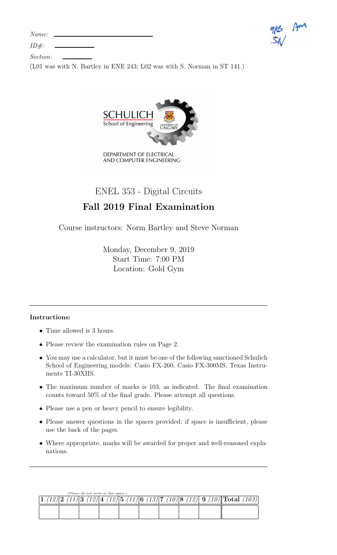| Name: |  |
|-------|--|
|-------|--|





Section:

(L01 was with N. Bartley in ENE 243; L02 was with S. Norman in ST 141.)



ENEL 353 - Digital Circuits

# Fall 2019 Final Examination

Course instructors: Norm Bartley and Steve Norman

Monday, December 9, 2019 Start Time: 7:00 PM Location: Gold Gym

## Instructions:

- Time allowed is 3 hours.
- Please review the examination rules on Page 2.
- You may use a calculator, but it must be one of the following sanctioned Schulich School of Engineering models: Casio FX-260, Casio FX-300MS, Texas Instruments TI-30XIIS.
- The maximum number of marks is 103, as indicated. The final examination counts toward 50% of the final grade. Please attempt all questions.
- Please use a pen or heavy pencil to ensure legibility.
- Please answer questions in the spaces provided; if space is insufficient, please use the back of the pages.
- Where appropriate, marks will be awarded for proper and well-reasoned explanations.

| (Please do not write in this space.) |                                                |                              |  |
|--------------------------------------|------------------------------------------------|------------------------------|--|
|                                      | $(12) 4$ $(12) 5$ $(11) 6$ $(13) 7$ $(10) 8$ . | $(12)$ 9 $(10)$ Total $_1$ . |  |
|                                      |                                                |                              |  |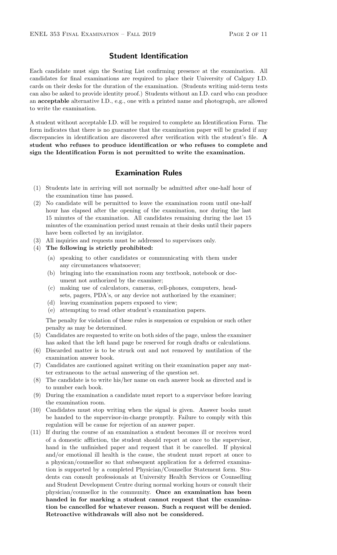## Student Identification

Each candidate must sign the Seating List confirming presence at the examination. All candidates for final examinations are required to place their University of Calgary I.D. cards on their desks for the duration of the examination. (Students writing mid-term tests can also be asked to provide identity proof.) Students without an I.D. card who can produce an acceptable alternative I.D., e.g., one with a printed name and photograph, are allowed to write the examination.

A student without acceptable I.D. will be required to complete an Identification Form. The form indicates that there is no guarantee that the examination paper will be graded if any discrepancies in identification are discovered after verification with the student's file. A student who refuses to produce identification or who refuses to complete and sign the Identification Form is not permitted to write the examination.

## Examination Rules

- (1) Students late in arriving will not normally be admitted after one-half hour of the examination time has passed.
- (2) No candidate will be permitted to leave the examination room until one-half hour has elapsed after the opening of the examination, nor during the last 15 minutes of the examination. All candidates remaining during the last 15 minutes of the examination period must remain at their desks until their papers have been collected by an invigilator.
- (3) All inquiries and requests must be addressed to supervisors only.
- (4) The following is strictly prohibited:
	- (a) speaking to other candidates or communicating with them under any circumstances whatsoever;
	- (b) bringing into the examination room any textbook, notebook or document not authorized by the examiner;
	- (c) making use of calculators, cameras, cell-phones, computers, headsets, pagers, PDA's, or any device not authorized by the examiner;
	- (d) leaving examination papers exposed to view;
	- (e) attempting to read other student's examination papers.

The penalty for violation of these rules is suspension or expulsion or such other penalty as may be determined.

- (5) Candidates are requested to write on both sides of the page, unless the examiner has asked that the left hand page be reserved for rough drafts or calculations.
- (6) Discarded matter is to be struck out and not removed by mutilation of the examination answer book.
- (7) Candidates are cautioned against writing on their examination paper any matter extraneous to the actual answering of the question set.
- (8) The candidate is to write his/her name on each answer book as directed and is to number each book.
- (9) During the examination a candidate must report to a supervisor before leaving the examination room.
- (10) Candidates must stop writing when the signal is given. Answer books must be handed to the supervisor-in-charge promptly. Failure to comply with this regulation will be cause for rejection of an answer paper.
- (11) If during the course of an examination a student becomes ill or receives word of a domestic affliction, the student should report at once to the supervisor, hand in the unfinished paper and request that it be cancelled. If physical and/or emotional ill health is the cause, the student must report at once to a physican/counsellor so that subsequent application for a deferred examination is supported by a completed Physician/Counsellor Statement form. Students can consult professionals at University Health Services or Counselling and Student Development Centre during normal working hours or consult their physician/counsellor in the community. Once an examination has been handed in for marking a student cannot request that the examination be cancelled for whatever reason. Such a request will be denied. Retroactive withdrawals will also not be considered.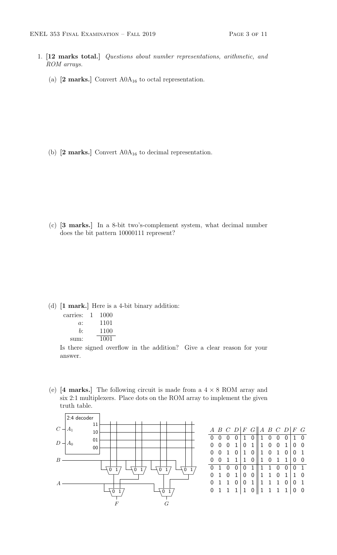- 1. [12 marks total.] Questions about number representations, arithmetic, and ROM arrays.
	- (a)  $[2 \text{ marks.}]$  Convert A0 $A_{16}$  to octal representation.

(b)  $[2 \text{ marks.}]$  Convert  $A0A_{16}$  to decimal representation.

(c) [3 marks.] In a 8-bit two's-complement system, what decimal number does the bit pattern 10000111 represent?

(d) [1 mark.] Here is a 4-bit binary addition:

| carries: | I. | 1000 |
|----------|----|------|
| a:       |    | 1101 |
| h·       |    | 1100 |
| sum:     |    | 1001 |

Is there signed overflow in the addition? Give a clear reason for your answer.

(e)  $[4 \text{ marks.}]$  The following circuit is made from a  $4 \times 8 \text{ ROM array}$  and six 2:1 multiplexers. Place dots on the ROM array to implement the given truth table.



|  |  |  | A B C D $F$ G $A$ B C D $F$ G                                                                                                                                             |  |  |  |
|--|--|--|---------------------------------------------------------------------------------------------------------------------------------------------------------------------------|--|--|--|
|  |  |  |                                                                                                                                                                           |  |  |  |
|  |  |  |                                                                                                                                                                           |  |  |  |
|  |  |  |                                                                                                                                                                           |  |  |  |
|  |  |  | $\begin{array}{ c cccc cccc } \hline 0&0&0&0&1&0&1&0&0&0&1&0 \\ \hline 0&0&0&1&0&1&1&0&0&1&0&0 \\ 0&0&1&0&1&0&1&0&0&1&0 \\ 0&0&1&1&1&0&1&0&1&1&0&0 \\ \hline \end{array}$ |  |  |  |
|  |  |  |                                                                                                                                                                           |  |  |  |
|  |  |  |                                                                                                                                                                           |  |  |  |
|  |  |  |                                                                                                                                                                           |  |  |  |
|  |  |  | $\begin{array}{ c cccc } \hline 0&1&0&0&0&1&1&1&0&0&0&1\\ \hline 0&1&0&1&0&0&1&1&0&1&1&0\\ 0&1&1&0&0&1&1&1&1&0&0&1\\ 0&1&1&1&1&0&1&1&1&0&0 \end{array}$                   |  |  |  |
|  |  |  |                                                                                                                                                                           |  |  |  |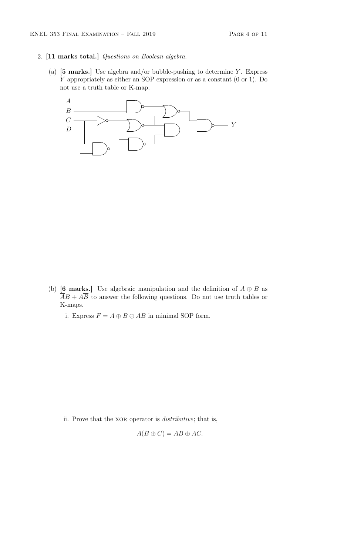- 2. [11 marks total.] Questions on Boolean algebra.
	- (a)  $[5 \text{ marks.}]$  Use algebra and/or bubble-pushing to determine Y. Express Y appropriately as either an SOP expression or as a constant (0 or 1). Do not use a truth table or K-map.



- (b) [6 marks.] Use algebraic manipulation and the definition of  $A \oplus B$  as  $\overline{A}B + A\overline{B}$  to answer the following questions. Do not use truth tables or K-maps.
	- i. Express  $F = A \oplus B \oplus AB$  in minimal SOP form.

ii. Prove that the XOR operator is *distributive*; that is,

$$
A(B \oplus C) = AB \oplus AC.
$$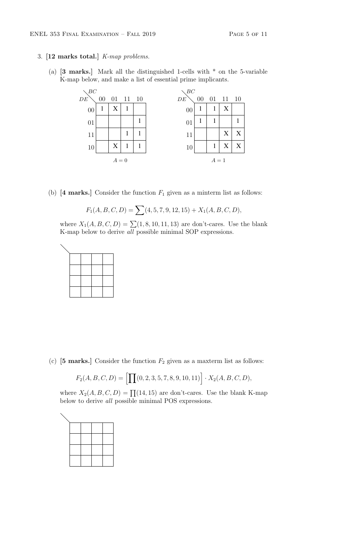- 3. [12 marks total.] K-map problems.
	- (a)  $\mathbf{3}$  marks. Mark all the distinguished 1-cells with  $*$  on the 5-variable K-map below, and make a list of essential prime implicants.



(b)  $[4 \text{ marks.}]$  Consider the function  $F_1$  given as a minterm list as follows:

$$
F_1(A, B, C, D) = \sum (4, 5, 7, 9, 12, 15) + X_1(A, B, C, D),
$$

where  $X_1(A, B, C, D) = \sum (1, 8, 10, 11, 13)$  are don't-cares. Use the blank K-map below to derive all possible minimal SOP expressions.



(c)  $[5 \text{ marks.}]$  Consider the function  $F_2$  given as a maxterm list as follows:

$$
F_2(A, B, C, D) = \left[ \prod(0, 2, 3, 5, 7, 8, 9, 10, 11) \right] \cdot X_2(A, B, C, D),
$$

where  $X_2(A, B, C, D) = \prod (14, 15)$  are don't-cares. Use the blank K-map below to derive all possible minimal POS expressions.

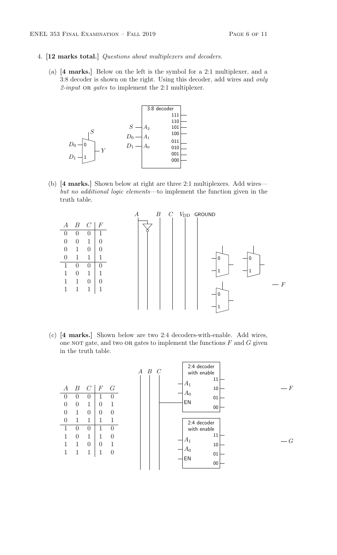- 4. [12 marks total.] Questions about multiplexers and decoders.
	- (a) [4 marks.] Below on the left is the symbol for a 2:1 multiplexer, and a 3:8 decoder is shown on the right. Using this decoder, add wires and only  $2$ -input OR gates to implement the 2:1 multiplexer.



(b) [4 marks.] Shown below at right are three 2:1 multiplexers. Add wires but no additional logic elements—to implement the function given in the truth table.



(c) [4 marks.] Shown below are two 2:4 decoders-with-enable. Add wires, one NOT gate, and two OR gates to implement the functions  $F$  and  $G$  given in the truth table.

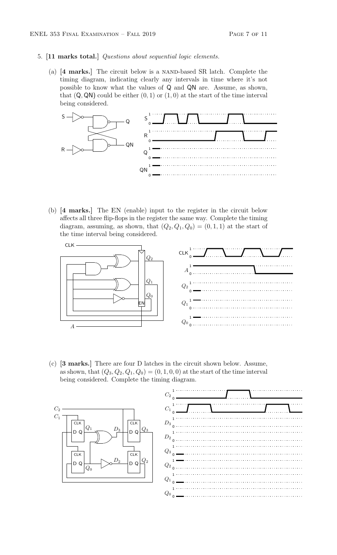#### 5. [11 marks total.] Questions about sequential logic elements.

(a) [4 marks.] The circuit below is a NAND-based SR latch. Complete the timing diagram, indicating clearly any intervals in time where it's not possible to know what the values of Q and QN are. Assume, as shown, that  $(Q, QN)$  could be either  $(0, 1)$  or  $(1, 0)$  at the start of the time interval being considered.



(b) [4 marks.] The EN (enable) input to the register in the circuit below affects all three flip-flops in the register the same way. Complete the timing diagram, assuming, as shown, that  $(Q_2, Q_1, Q_0) = (0, 1, 1)$  at the start of the time interval being considered.



(c) [3 marks.] There are four D latches in the circuit shown below. Assume, as shown, that  $(Q_3, Q_2, Q_1, Q_0) = (0, 1, 0, 0)$  at the start of the time interval being considered. Complete the timing diagram.

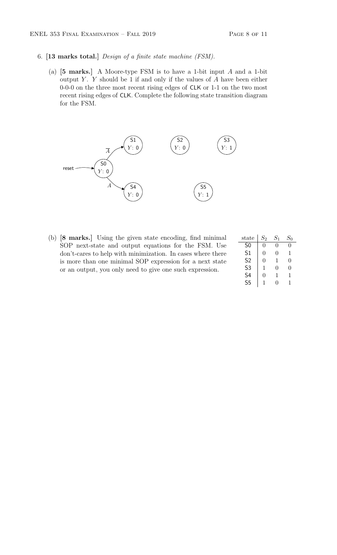- 6. [13 marks total.] Design of a finite state machine (FSM).
	- (a)  $[5 \text{ marks.}]$  A Moore-type FSM is to have a 1-bit input A and a 1-bit output  $Y$ .  $Y$  should be 1 if and only if the values of  $A$  have been either 0-0-0 on the three most recent rising edges of CLK or 1-1 on the two most recent rising edges of CLK. Complete the following state transition diagram for the FSM.



(b) [8 marks.] Using the given state encoding, find minimal SOP next-state and output equations for the FSM. Use don't-cares to help with minimization. In cases where there is more than one minimal SOP expression for a next state or an output, you only need to give one such expression.

| $_{\rm state}$ | $S_2\,$ | $S_{1}$      | $S_0$ |
|----------------|---------|--------------|-------|
| S <sub>0</sub> | 0       | 0            | 0     |
| S1             | 0       | $\mathbf{0}$ | 1     |
| S <sub>2</sub> | 0       | 1            | 0     |
| S <sub>3</sub> | 1       | 0            | 0     |
| S <sub>4</sub> | O       | 1            | 1     |
| S <sub>5</sub> | 1       | 0            | 1     |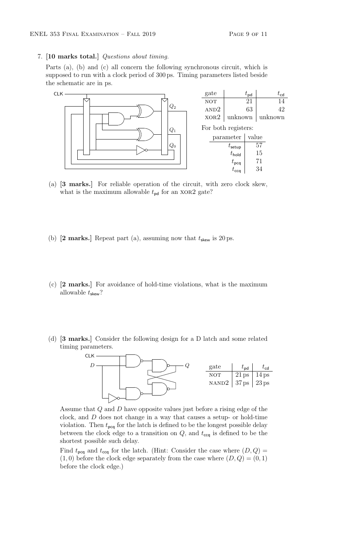7. [10 marks total.] Questions about timing.

Parts (a), (b) and (c) all concern the following synchronous circuit, which is supposed to run with a clock period of 300 ps. Timing parameters listed beside the schematic are in ps.



- (a) [3 marks.] For reliable operation of the circuit, with zero clock skew, what is the maximum allowable  $t_{\text{pd}}$  for an XOR2 gate?
- (b)  $[2 \text{ marks.}]$  Repeat part (a), assuming now that  $t_{\text{skew}}$  is 20 ps.
- (c) [2 marks.] For avoidance of hold-time violations, what is the maximum allowable  $t_{\text{skew}}$ ?
- (d) [3 marks.] Consider the following design for a D latch and some related timing parameters.



Assume that Q and D have opposite values just before a rising edge of the clock, and D does not change in a way that causes a setup- or hold-time violation. Then  $t_{\text{pcq}}$  for the latch is defined to be the longest possible delay between the clock edge to a transition on  $Q$ , and  $t_{\text{ccq}}$  is defined to be the shortest possible such delay.

Find  $t_{\text{pcq}}$  and  $t_{\text{ccq}}$  for the latch. (Hint: Consider the case where  $(D, Q)$  =  $(1,0)$  before the clock edge separately from the case where  $(D,Q) = (0,1)$ before the clock edge.)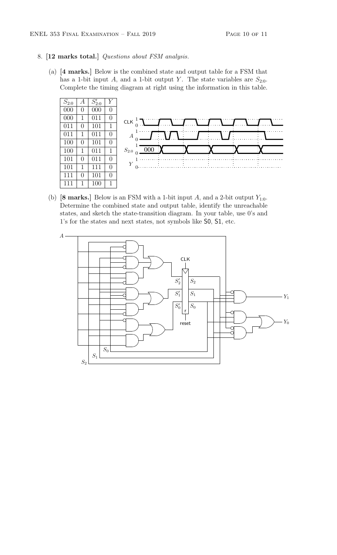#### 8. [12 marks total.] Questions about FSM analysis.

(a) [4 marks.] Below is the combined state and output table for a FSM that has a 1-bit input A, and a 1-bit output Y. The state variables are  $S_{2:0}$ . Complete the timing diagram at right using the information in this table.



(b) [8 marks.] Below is an FSM with a 1-bit input A, and a 2-bit output  $Y_{1:0}$ . Determine the combined state and output table, identify the unreachable states, and sketch the state-transition diagram. In your table, use 0's and 1's for the states and next states, not symbols like S0, S1, etc.